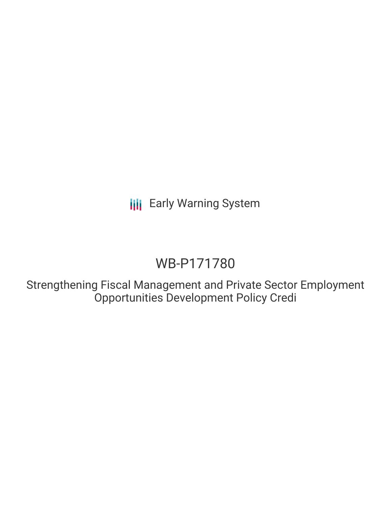# WB-P171780

Strengthening Fiscal Management and Private Sector Employment Opportunities Development Policy Credi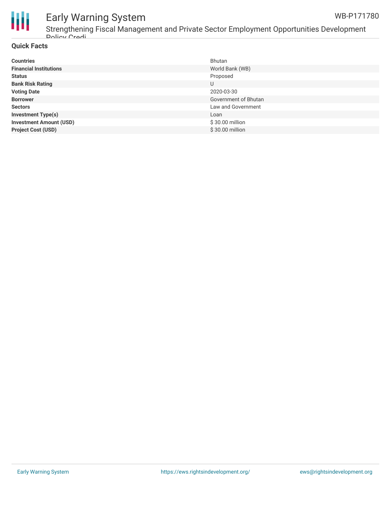



Strengthening Fiscal Management and Private Sector Employment Opportunities Development Policy Credi

### **Quick Facts**

| <b>Countries</b>               | Bhutan               |
|--------------------------------|----------------------|
| <b>Financial Institutions</b>  | World Bank (WB)      |
| <b>Status</b>                  | Proposed             |
| <b>Bank Risk Rating</b>        | U                    |
| <b>Voting Date</b>             | 2020-03-30           |
| <b>Borrower</b>                | Government of Bhutan |
| <b>Sectors</b>                 | Law and Government   |
| <b>Investment Type(s)</b>      | Loan                 |
| <b>Investment Amount (USD)</b> | $$30.00$ million     |
| <b>Project Cost (USD)</b>      | \$30.00 million      |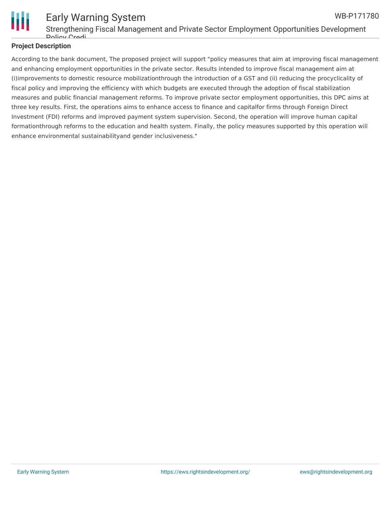

#### Early Warning System Strengthening Fiscal Management and Private Sector Employment Opportunities Development Policy Credi WB-P171780

### **Project Description**

According to the bank document, The proposed project will support "policy measures that aim at improving fiscal management and enhancing employment opportunities in the private sector. Results intended to improve fiscal management aim at (i)improvements to domestic resource mobilizationthrough the introduction of a GST and (ii) reducing the procyclicality of fiscal policy and improving the efficiency with which budgets are executed through the adoption of fiscal stabilization measures and public financial management reforms. To improve private sector employment opportunities, this DPC aims at three key results. First, the operations aims to enhance access to finance and capitalfor firms through Foreign Direct Investment (FDI) reforms and improved payment system supervision. Second, the operation will improve human capital formationthrough reforms to the education and health system. Finally, the policy measures supported by this operation will enhance environmental sustainabilityand gender inclusiveness."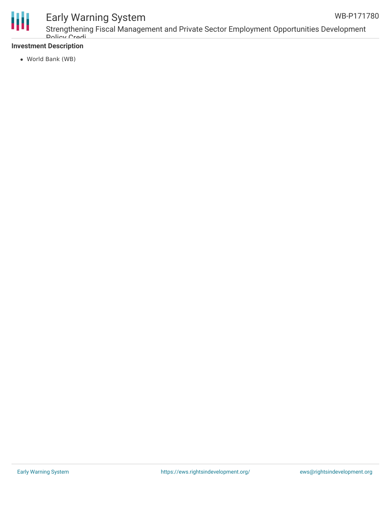

### **Investment Description**

World Bank (WB)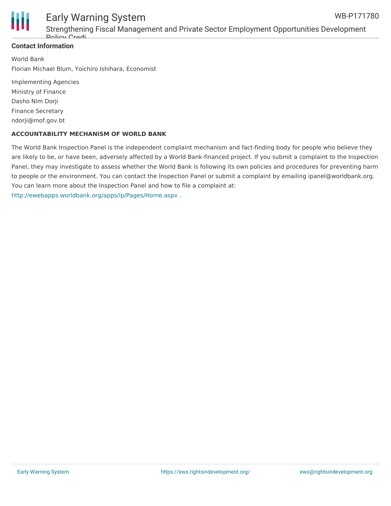

Strengthening Fiscal Management and Private Sector Employment Opportunities Development Policy Credi

### **Contact Information**

World Bank Florian Michael Blum, Yoichiro Ishihara, Economist

Implementing Agencies Ministry of Finance Dasho Nim Dorji Finance Secretary ndorji@mof.gov.bt

#### **ACCOUNTABILITY MECHANISM OF WORLD BANK**

The World Bank Inspection Panel is the independent complaint mechanism and fact-finding body for people who believe they are likely to be, or have been, adversely affected by a World Bank-financed project. If you submit a complaint to the Inspection Panel, they may investigate to assess whether the World Bank is following its own policies and procedures for preventing harm to people or the environment. You can contact the Inspection Panel or submit a complaint by emailing ipanel@worldbank.org. You can learn more about the Inspection Panel and how to file a complaint at: <http://ewebapps.worldbank.org/apps/ip/Pages/Home.aspx> .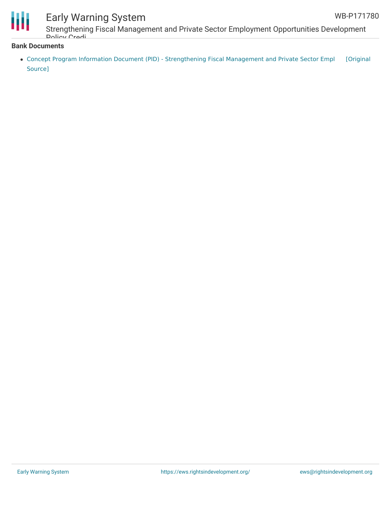

Strengthening Fiscal Management and Private Sector Employment Opportunities Development Policy Credi

#### **Bank Documents**

• Concept Program Information Document (PID) - [Strengthening](https://ewsdata.rightsindevelopment.org/files/documents/80/WB-P171780.pdf) Fiscal Management and Private Sector Empl [Original Source]